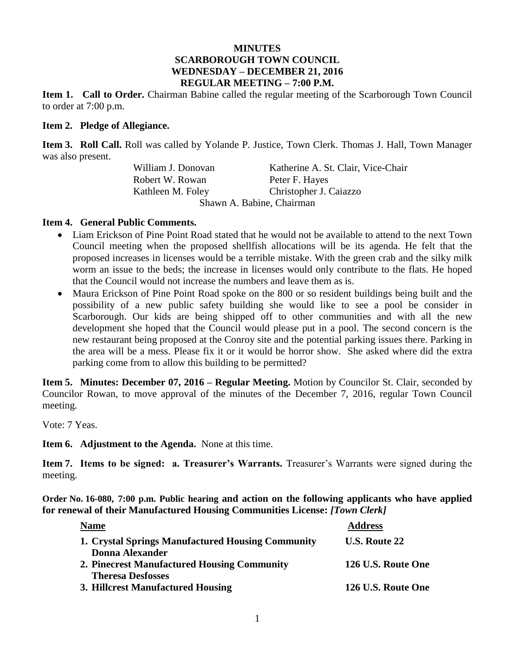#### **MINUTES SCARBOROUGH TOWN COUNCIL WEDNESDAY – DECEMBER 21, 2016 REGULAR MEETING – 7:00 P.M.**

**Item 1. Call to Order.** Chairman Babine called the regular meeting of the Scarborough Town Council to order at 7:00 p.m.

#### **Item 2. Pledge of Allegiance.**

**Item 3. Roll Call.** Roll was called by Yolande P. Justice, Town Clerk. Thomas J. Hall, Town Manager was also present.

> William J. Donovan Katherine A. St. Clair, Vice-Chair Robert W. Rowan Peter F. Hayes Kathleen M. Foley Christopher J. Caiazzo Shawn A. Babine, Chairman

### **Item 4. General Public Comments.**

- Liam Erickson of Pine Point Road stated that he would not be available to attend to the next Town Council meeting when the proposed shellfish allocations will be its agenda. He felt that the proposed increases in licenses would be a terrible mistake. With the green crab and the silky milk worm an issue to the beds; the increase in licenses would only contribute to the flats. He hoped that the Council would not increase the numbers and leave them as is.
- Maura Erickson of Pine Point Road spoke on the 800 or so resident buildings being built and the possibility of a new public safety building she would like to see a pool be consider in Scarborough. Our kids are being shipped off to other communities and with all the new development she hoped that the Council would please put in a pool. The second concern is the new restaurant being proposed at the Conroy site and the potential parking issues there. Parking in the area will be a mess. Please fix it or it would be horror show. She asked where did the extra parking come from to allow this building to be permitted?

**Item 5. Minutes: December 07, 2016 – Regular Meeting.** Motion by Councilor St. Clair, seconded by Councilor Rowan, to move approval of the minutes of the December 7, 2016, regular Town Council meeting.

Vote: 7 Yeas.

**Item 6. Adjustment to the Agenda.** None at this time.

**Item 7. Items to be signed: a. Treasurer's Warrants.** Treasurer's Warrants were signed during the meeting.

**Order No. 16-080, 7:00 p.m. Public hearing and action on the following applicants who have applied for renewal of their Manufactured Housing Communities License:** *[Town Clerk]*

| <b>Name</b>                                       | <b>Address</b>       |
|---------------------------------------------------|----------------------|
| 1. Crystal Springs Manufactured Housing Community | <b>U.S. Route 22</b> |
| <b>Donna Alexander</b>                            |                      |
| 2. Pinecrest Manufactured Housing Community       | 126 U.S. Route One   |
| <b>Theresa Desfosses</b>                          |                      |
| 3. Hillcrest Manufactured Housing                 | 126 U.S. Route One   |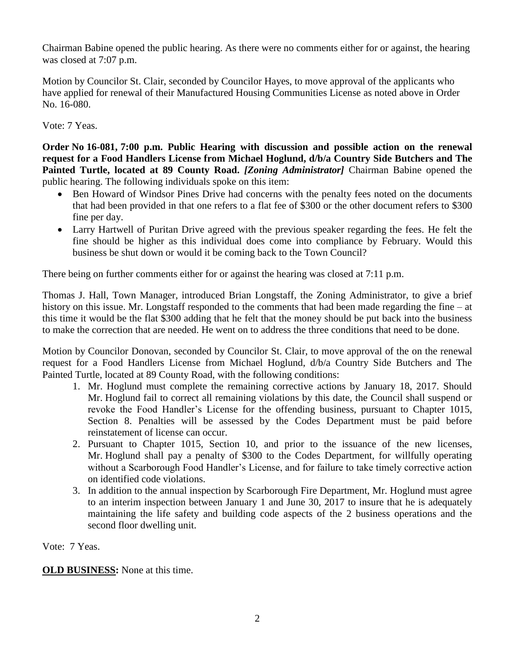Chairman Babine opened the public hearing. As there were no comments either for or against, the hearing was closed at 7:07 p.m.

Motion by Councilor St. Clair, seconded by Councilor Hayes, to move approval of the applicants who have applied for renewal of their Manufactured Housing Communities License as noted above in Order No. 16-080.

Vote: 7 Yeas.

**Order No 16-081, 7:00 p.m. Public Hearing with discussion and possible action on the renewal request for a Food Handlers License from Michael Hoglund, d/b/a Country Side Butchers and The Painted Turtle, located at 89 County Road.** *[Zoning Administrator]* Chairman Babine opened the public hearing. The following individuals spoke on this item:

- Ben Howard of Windsor Pines Drive had concerns with the penalty fees noted on the documents that had been provided in that one refers to a flat fee of \$300 or the other document refers to \$300 fine per day.
- Larry Hartwell of Puritan Drive agreed with the previous speaker regarding the fees. He felt the fine should be higher as this individual does come into compliance by February. Would this business be shut down or would it be coming back to the Town Council?

There being on further comments either for or against the hearing was closed at 7:11 p.m.

Thomas J. Hall, Town Manager, introduced Brian Longstaff, the Zoning Administrator, to give a brief history on this issue. Mr. Longstaff responded to the comments that had been made regarding the fine – at this time it would be the flat \$300 adding that he felt that the money should be put back into the business to make the correction that are needed. He went on to address the three conditions that need to be done.

Motion by Councilor Donovan, seconded by Councilor St. Clair, to move approval of the on the renewal request for a Food Handlers License from Michael Hoglund, d/b/a Country Side Butchers and The Painted Turtle, located at 89 County Road, with the following conditions:

- 1. Mr. Hoglund must complete the remaining corrective actions by January 18, 2017. Should Mr. Hoglund fail to correct all remaining violations by this date, the Council shall suspend or revoke the Food Handler's License for the offending business, pursuant to Chapter 1015, Section 8. Penalties will be assessed by the Codes Department must be paid before reinstatement of license can occur.
- 2. Pursuant to Chapter 1015, Section 10, and prior to the issuance of the new licenses, Mr. Hoglund shall pay a penalty of \$300 to the Codes Department, for willfully operating without a Scarborough Food Handler's License, and for failure to take timely corrective action on identified code violations.
- 3. In addition to the annual inspection by Scarborough Fire Department, Mr. Hoglund must agree to an interim inspection between January 1 and June 30, 2017 to insure that he is adequately maintaining the life safety and building code aspects of the 2 business operations and the second floor dwelling unit.

Vote: 7 Yeas.

**OLD BUSINESS:** None at this time.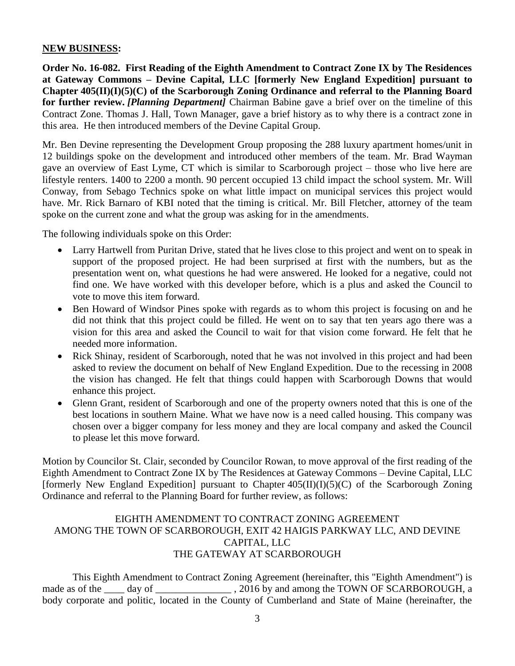#### **NEW BUSINESS:**

**Order No. 16-082. First Reading of the Eighth Amendment to Contract Zone IX by The Residences at Gateway Commons – Devine Capital, LLC [formerly New England Expedition] pursuant to Chapter 405(II)(I)(5)(C) of the Scarborough Zoning Ordinance and referral to the Planning Board for further review.** *[Planning Department]* Chairman Babine gave a brief over on the timeline of this Contract Zone. Thomas J. Hall, Town Manager, gave a brief history as to why there is a contract zone in this area. He then introduced members of the Devine Capital Group.

Mr. Ben Devine representing the Development Group proposing the 288 luxury apartment homes/unit in 12 buildings spoke on the development and introduced other members of the team. Mr. Brad Wayman gave an overview of East Lyme, CT which is similar to Scarborough project – those who live here are lifestyle renters. 1400 to 2200 a month. 90 percent occupied 13 child impact the school system. Mr. Will Conway, from Sebago Technics spoke on what little impact on municipal services this project would have. Mr. Rick Barnaro of KBI noted that the timing is critical. Mr. Bill Fletcher, attorney of the team spoke on the current zone and what the group was asking for in the amendments.

The following individuals spoke on this Order:

- Larry Hartwell from Puritan Drive, stated that he lives close to this project and went on to speak in support of the proposed project. He had been surprised at first with the numbers, but as the presentation went on, what questions he had were answered. He looked for a negative, could not find one. We have worked with this developer before, which is a plus and asked the Council to vote to move this item forward.
- Ben Howard of Windsor Pines spoke with regards as to whom this project is focusing on and he did not think that this project could be filled. He went on to say that ten years ago there was a vision for this area and asked the Council to wait for that vision come forward. He felt that he needed more information.
- Rick Shinay, resident of Scarborough, noted that he was not involved in this project and had been asked to review the document on behalf of New England Expedition. Due to the recessing in 2008 the vision has changed. He felt that things could happen with Scarborough Downs that would enhance this project.
- Glenn Grant, resident of Scarborough and one of the property owners noted that this is one of the best locations in southern Maine. What we have now is a need called housing. This company was chosen over a bigger company for less money and they are local company and asked the Council to please let this move forward.

Motion by Councilor St. Clair, seconded by Councilor Rowan, to move approval of the first reading of the Eighth Amendment to Contract Zone IX by The Residences at Gateway Commons – Devine Capital, LLC [formerly New England Expedition] pursuant to Chapter  $405(II)(I)(5)(C)$  of the Scarborough Zoning Ordinance and referral to the Planning Board for further review, as follows:

# EIGHTH AMENDMENT TO CONTRACT ZONING AGREEMENT AMONG THE TOWN OF SCARBOROUGH, EXIT 42 HAIGIS PARKWAY LLC, AND DEVINE CAPITAL, LLC THE GATEWAY AT SCARBOROUGH

This Eighth Amendment to Contract Zoning Agreement (hereinafter, this "Eighth Amendment") is made as of the \_\_\_\_ day of \_\_\_\_\_\_\_\_\_\_\_\_\_\_\_\_\_, 2016 by and among the TOWN OF SCARBOROUGH, a body corporate and politic, located in the County of Cumberland and State of Maine (hereinafter, the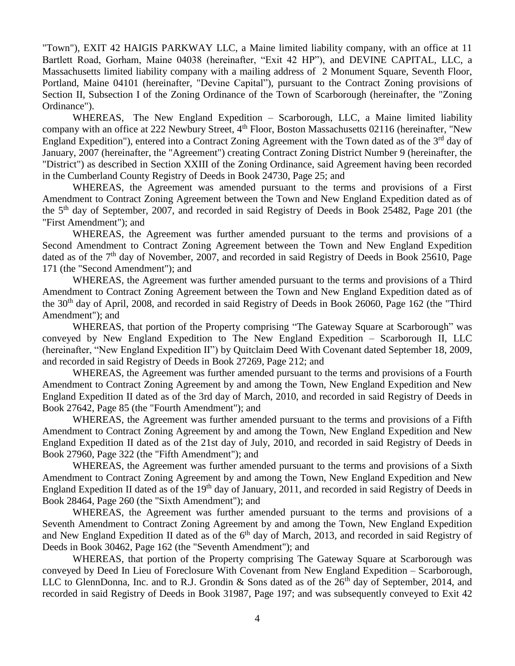"Town"), EXIT 42 HAIGIS PARKWAY LLC, a Maine limited liability company, with an office at 11 Bartlett Road, Gorham, Maine 04038 (hereinafter, "Exit 42 HP"), and DEVINE CAPITAL, LLC, a Massachusetts limited liability company with a mailing address of 2 Monument Square, Seventh Floor, Portland, Maine 04101 (hereinafter, "Devine Capital"), pursuant to the Contract Zoning provisions of Section II, Subsection I of the Zoning Ordinance of the Town of Scarborough (hereinafter, the "Zoning Ordinance").

WHEREAS, The New England Expedition – Scarborough, LLC, a Maine limited liability company with an office at 222 Newbury Street, 4<sup>th</sup> Floor, Boston Massachusetts 02116 (hereinafter, "New England Expedition"), entered into a Contract Zoning Agreement with the Town dated as of the  $3<sup>rd</sup>$  day of January, 2007 (hereinafter, the "Agreement") creating Contract Zoning District Number 9 (hereinafter, the "District") as described in Section XXIII of the Zoning Ordinance, said Agreement having been recorded in the Cumberland County Registry of Deeds in Book 24730, Page 25; and

WHEREAS, the Agreement was amended pursuant to the terms and provisions of a First Amendment to Contract Zoning Agreement between the Town and New England Expedition dated as of the 5<sup>th</sup> day of September, 2007, and recorded in said Registry of Deeds in Book 25482, Page 201 (the "First Amendment"); and

WHEREAS, the Agreement was further amended pursuant to the terms and provisions of a Second Amendment to Contract Zoning Agreement between the Town and New England Expedition dated as of the  $7<sup>th</sup>$  day of November, 2007, and recorded in said Registry of Deeds in Book 25610, Page 171 (the "Second Amendment"); and

WHEREAS, the Agreement was further amended pursuant to the terms and provisions of a Third Amendment to Contract Zoning Agreement between the Town and New England Expedition dated as of the 30th day of April, 2008, and recorded in said Registry of Deeds in Book 26060, Page 162 (the "Third Amendment"); and

WHEREAS, that portion of the Property comprising "The Gateway Square at Scarborough" was conveyed by New England Expedition to The New England Expedition – Scarborough II, LLC (hereinafter, "New England Expedition II") by Quitclaim Deed With Covenant dated September 18, 2009, and recorded in said Registry of Deeds in Book 27269, Page 212; and

WHEREAS, the Agreement was further amended pursuant to the terms and provisions of a Fourth Amendment to Contract Zoning Agreement by and among the Town, New England Expedition and New England Expedition II dated as of the 3rd day of March, 2010, and recorded in said Registry of Deeds in Book 27642, Page 85 (the "Fourth Amendment"); and

WHEREAS, the Agreement was further amended pursuant to the terms and provisions of a Fifth Amendment to Contract Zoning Agreement by and among the Town, New England Expedition and New England Expedition II dated as of the 21st day of July, 2010, and recorded in said Registry of Deeds in Book 27960, Page 322 (the "Fifth Amendment"); and

WHEREAS, the Agreement was further amended pursuant to the terms and provisions of a Sixth Amendment to Contract Zoning Agreement by and among the Town, New England Expedition and New England Expedition II dated as of the 19<sup>th</sup> day of January, 2011, and recorded in said Registry of Deeds in Book 28464, Page 260 (the "Sixth Amendment"); and

WHEREAS, the Agreement was further amended pursuant to the terms and provisions of a Seventh Amendment to Contract Zoning Agreement by and among the Town, New England Expedition and New England Expedition II dated as of the 6<sup>th</sup> day of March, 2013, and recorded in said Registry of Deeds in Book 30462, Page 162 (the "Seventh Amendment"); and

WHEREAS, that portion of the Property comprising The Gateway Square at Scarborough was conveyed by Deed In Lieu of Foreclosure With Covenant from New England Expedition – Scarborough, LLC to GlennDonna, Inc. and to R.J. Grondin & Sons dated as of the 26<sup>th</sup> day of September, 2014, and recorded in said Registry of Deeds in Book 31987, Page 197; and was subsequently conveyed to Exit 42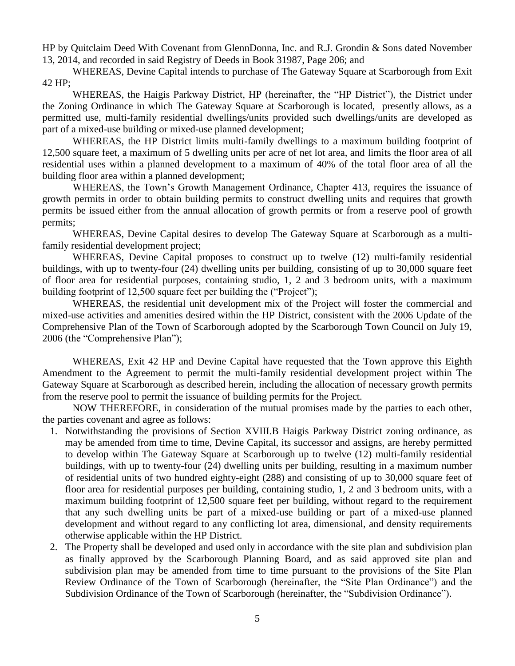HP by Quitclaim Deed With Covenant from GlennDonna, Inc. and R.J. Grondin & Sons dated November 13, 2014, and recorded in said Registry of Deeds in Book 31987, Page 206; and

WHEREAS, Devine Capital intends to purchase of The Gateway Square at Scarborough from Exit 42 HP;

WHEREAS, the Haigis Parkway District, HP (hereinafter, the "HP District"), the District under the Zoning Ordinance in which The Gateway Square at Scarborough is located, presently allows, as a permitted use, multi-family residential dwellings/units provided such dwellings/units are developed as part of a mixed-use building or mixed-use planned development;

WHEREAS, the HP District limits multi-family dwellings to a maximum building footprint of 12,500 square feet, a maximum of 5 dwelling units per acre of net lot area, and limits the floor area of all residential uses within a planned development to a maximum of 40% of the total floor area of all the building floor area within a planned development;

WHEREAS, the Town's Growth Management Ordinance, Chapter 413, requires the issuance of growth permits in order to obtain building permits to construct dwelling units and requires that growth permits be issued either from the annual allocation of growth permits or from a reserve pool of growth permits;

WHEREAS, Devine Capital desires to develop The Gateway Square at Scarborough as a multifamily residential development project;

WHEREAS, Devine Capital proposes to construct up to twelve (12) multi-family residential buildings, with up to twenty-four (24) dwelling units per building, consisting of up to 30,000 square feet of floor area for residential purposes, containing studio, 1, 2 and 3 bedroom units, with a maximum building footprint of 12,500 square feet per building the ("Project");

WHEREAS, the residential unit development mix of the Project will foster the commercial and mixed-use activities and amenities desired within the HP District, consistent with the 2006 Update of the Comprehensive Plan of the Town of Scarborough adopted by the Scarborough Town Council on July 19, 2006 (the "Comprehensive Plan");

WHEREAS, Exit 42 HP and Devine Capital have requested that the Town approve this Eighth Amendment to the Agreement to permit the multi-family residential development project within The Gateway Square at Scarborough as described herein, including the allocation of necessary growth permits from the reserve pool to permit the issuance of building permits for the Project.

NOW THEREFORE, in consideration of the mutual promises made by the parties to each other, the parties covenant and agree as follows:

- 1. Notwithstanding the provisions of Section XVIII.B Haigis Parkway District zoning ordinance, as may be amended from time to time, Devine Capital, its successor and assigns, are hereby permitted to develop within The Gateway Square at Scarborough up to twelve (12) multi-family residential buildings, with up to twenty-four (24) dwelling units per building, resulting in a maximum number of residential units of two hundred eighty-eight (288) and consisting of up to 30,000 square feet of floor area for residential purposes per building, containing studio, 1, 2 and 3 bedroom units, with a maximum building footprint of 12,500 square feet per building, without regard to the requirement that any such dwelling units be part of a mixed-use building or part of a mixed-use planned development and without regard to any conflicting lot area, dimensional, and density requirements otherwise applicable within the HP District.
- 2. The Property shall be developed and used only in accordance with the site plan and subdivision plan as finally approved by the Scarborough Planning Board, and as said approved site plan and subdivision plan may be amended from time to time pursuant to the provisions of the Site Plan Review Ordinance of the Town of Scarborough (hereinafter, the "Site Plan Ordinance") and the Subdivision Ordinance of the Town of Scarborough (hereinafter, the "Subdivision Ordinance").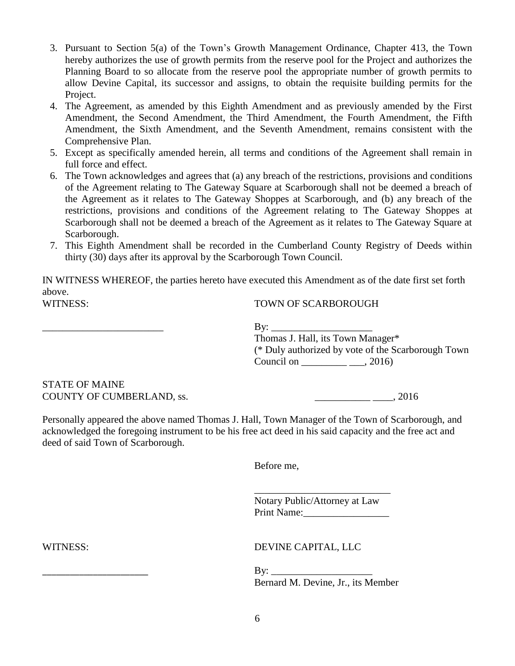- 3. Pursuant to Section 5(a) of the Town's Growth Management Ordinance, Chapter 413, the Town hereby authorizes the use of growth permits from the reserve pool for the Project and authorizes the Planning Board to so allocate from the reserve pool the appropriate number of growth permits to allow Devine Capital, its successor and assigns, to obtain the requisite building permits for the Project.
- 4. The Agreement, as amended by this Eighth Amendment and as previously amended by the First Amendment, the Second Amendment, the Third Amendment, the Fourth Amendment, the Fifth Amendment, the Sixth Amendment, and the Seventh Amendment, remains consistent with the Comprehensive Plan.
- 5. Except as specifically amended herein, all terms and conditions of the Agreement shall remain in full force and effect.
- 6. The Town acknowledges and agrees that (a) any breach of the restrictions, provisions and conditions of the Agreement relating to The Gateway Square at Scarborough shall not be deemed a breach of the Agreement as it relates to The Gateway Shoppes at Scarborough, and (b) any breach of the restrictions, provisions and conditions of the Agreement relating to The Gateway Shoppes at Scarborough shall not be deemed a breach of the Agreement as it relates to The Gateway Square at Scarborough.
- 7. This Eighth Amendment shall be recorded in the Cumberland County Registry of Deeds within thirty (30) days after its approval by the Scarborough Town Council.

IN WITNESS WHEREOF, the parties hereto have executed this Amendment as of the date first set forth above. WITNESS: TOWN OF SCARBOROUGH

 $\mathbf{B}$ y:

Thomas J. Hall, its Town Manager\* (\* Duly authorized by vote of the Scarborough Town Council on \_\_\_\_\_\_\_\_\_\_\_\_\_\_\_\_\_\_\_\_, 2016)

#### STATE OF MAINE COUNTY OF CUMBERLAND, ss.  $\frac{1}{2}$ , 2016

Personally appeared the above named Thomas J. Hall, Town Manager of the Town of Scarborough, and acknowledged the foregoing instrument to be his free act deed in his said capacity and the free act and deed of said Town of Scarborough.

Before me,

Notary Public/Attorney at Law Print Name:\_\_\_\_\_\_\_\_\_\_\_\_\_\_\_\_\_

\_\_\_\_\_\_\_\_\_\_\_\_\_\_\_\_\_\_\_\_\_\_\_\_\_\_\_

WITNESS: DEVINE CAPITAL, LLC

 $Bv:$ Bernard M. Devine, Jr., its Member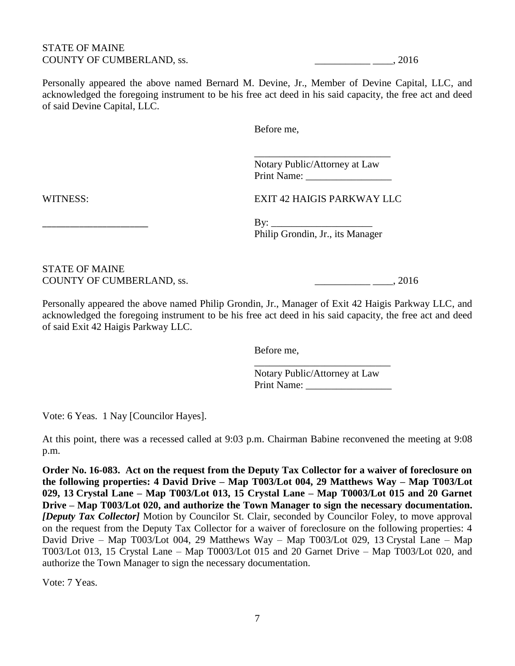#### STATE OF MAINE COUNTY OF CUMBERLAND, ss. \_\_\_\_\_\_\_\_\_\_\_ \_\_\_\_, 2016

Personally appeared the above named Bernard M. Devine, Jr., Member of Devine Capital, LLC, and acknowledged the foregoing instrument to be his free act deed in his said capacity, the free act and deed of said Devine Capital, LLC.

Before me,

Notary Public/Attorney at Law Print Name: \_\_\_\_\_\_\_\_\_\_\_\_\_\_\_\_\_

\_\_\_\_\_\_\_\_\_\_\_\_\_\_\_\_\_\_\_\_\_\_\_\_\_\_\_

WITNESS: EXIT 42 HAIGIS PARKWAY LLC

 $\rm\,By:\,$ Philip Grondin, Jr., its Manager

STATE OF MAINE COUNTY OF CUMBERLAND, ss. \_\_\_\_\_\_\_\_\_\_\_ \_\_\_\_, 2016

Personally appeared the above named Philip Grondin, Jr., Manager of Exit 42 Haigis Parkway LLC, and acknowledged the foregoing instrument to be his free act deed in his said capacity, the free act and deed of said Exit 42 Haigis Parkway LLC.

Before me,

Notary Public/Attorney at Law Print Name:

\_\_\_\_\_\_\_\_\_\_\_\_\_\_\_\_\_\_\_\_\_\_\_\_\_\_\_

Vote: 6 Yeas. 1 Nay [Councilor Hayes].

At this point, there was a recessed called at 9:03 p.m. Chairman Babine reconvened the meeting at 9:08 p.m.

**Order No. 16-083. Act on the request from the Deputy Tax Collector for a waiver of foreclosure on the following properties: 4 David Drive – Map T003/Lot 004, 29 Matthews Way – Map T003/Lot 029, 13 Crystal Lane – Map T003/Lot 013, 15 Crystal Lane – Map T0003/Lot 015 and 20 Garnet Drive – Map T003/Lot 020, and authorize the Town Manager to sign the necessary documentation.**  *[Deputy Tax Collector]* Motion by Councilor St. Clair, seconded by Councilor Foley, to move approval on the request from the Deputy Tax Collector for a waiver of foreclosure on the following properties: 4 David Drive – Map T003/Lot 004, 29 Matthews Way – Map T003/Lot 029, 13 Crystal Lane – Map T003/Lot 013, 15 Crystal Lane – Map T0003/Lot 015 and 20 Garnet Drive – Map T003/Lot 020, and authorize the Town Manager to sign the necessary documentation.

Vote: 7 Yeas.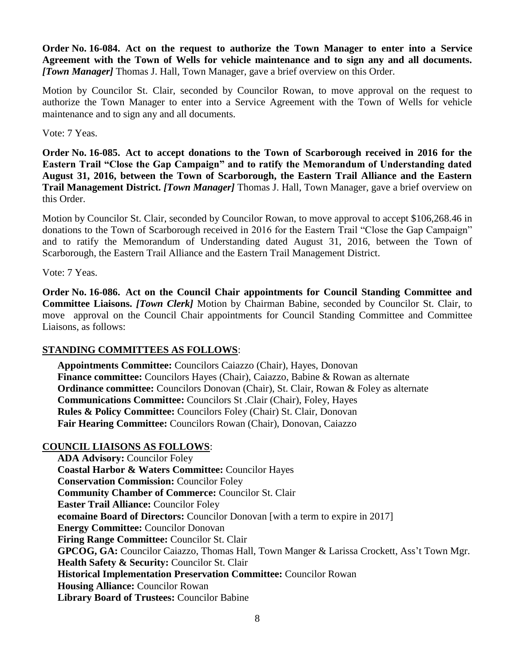**Order No. 16-084. Act on the request to authorize the Town Manager to enter into a Service Agreement with the Town of Wells for vehicle maintenance and to sign any and all documents.**  *[Town Manager]* Thomas J. Hall, Town Manager, gave a brief overview on this Order.

Motion by Councilor St. Clair, seconded by Councilor Rowan, to move approval on the request to authorize the Town Manager to enter into a Service Agreement with the Town of Wells for vehicle maintenance and to sign any and all documents.

Vote: 7 Yeas.

**Order No. 16-085. Act to accept donations to the Town of Scarborough received in 2016 for the Eastern Trail "Close the Gap Campaign" and to ratify the Memorandum of Understanding dated August 31, 2016, between the Town of Scarborough, the Eastern Trail Alliance and the Eastern Trail Management District.** *[Town Manager]* Thomas J. Hall, Town Manager, gave a brief overview on this Order.

Motion by Councilor St. Clair, seconded by Councilor Rowan, to move approval to accept \$106,268.46 in donations to the Town of Scarborough received in 2016 for the Eastern Trail "Close the Gap Campaign" and to ratify the Memorandum of Understanding dated August 31, 2016, between the Town of Scarborough, the Eastern Trail Alliance and the Eastern Trail Management District.

Vote: 7 Yeas.

**Order No. 16-086. Act on the Council Chair appointments for Council Standing Committee and Committee Liaisons.** *[Town Clerk]* Motion by Chairman Babine, seconded by Councilor St. Clair, to move approval on the Council Chair appointments for Council Standing Committee and Committee Liaisons, as follows:

# **STANDING COMMITTEES AS FOLLOWS**:

**Appointments Committee:** Councilors Caiazzo (Chair), Hayes, Donovan **Finance committee:** Councilors Hayes (Chair), Caiazzo, Babine & Rowan as alternate **Ordinance committee:** Councilors Donovan (Chair), St. Clair, Rowan & Foley as alternate **Communications Committee:** Councilors St .Clair (Chair), Foley, Hayes **Rules & Policy Committee:** Councilors Foley (Chair) St. Clair, Donovan **Fair Hearing Committee:** Councilors Rowan (Chair), Donovan, Caiazzo

# **COUNCIL LIAISONS AS FOLLOWS**:

**ADA Advisory:** Councilor Foley **Coastal Harbor & Waters Committee:** Councilor Hayes **Conservation Commission:** Councilor Foley **Community Chamber of Commerce:** Councilor St. Clair **Easter Trail Alliance:** Councilor Foley **ecomaine Board of Directors:** Councilor Donovan [with a term to expire in 2017] **Energy Committee:** Councilor Donovan **Firing Range Committee:** Councilor St. Clair **GPCOG, GA:** Councilor Caiazzo, Thomas Hall, Town Manger & Larissa Crockett, Ass't Town Mgr. **Health Safety & Security:** Councilor St. Clair **Historical Implementation Preservation Committee:** Councilor Rowan **Housing Alliance: Councilor Rowan Library Board of Trustees:** Councilor Babine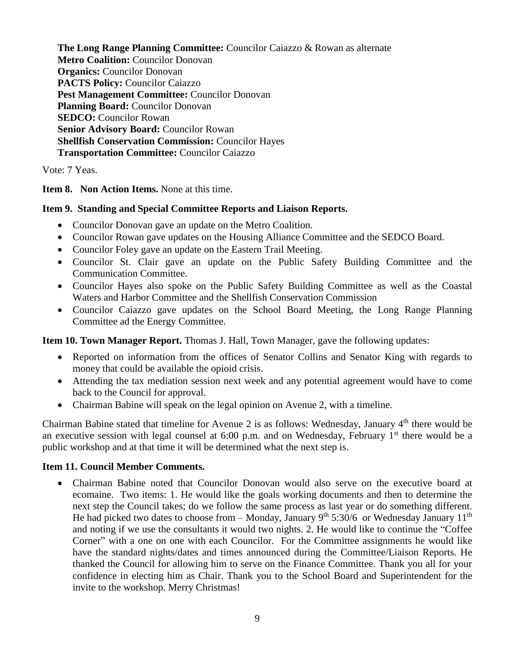**The Long Range Planning Committee:** Councilor Caiazzo & Rowan as alternate **Metro Coalition:** Councilor Donovan **Organics:** Councilor Donovan **PACTS Policy:** Councilor Caiazzo **Pest Management Committee:** Councilor Donovan **Planning Board: Councilor Donovan SEDCO:** Councilor Rowan **Senior Advisory Board:** Councilor Rowan **Shellfish Conservation Commission:** Councilor Hayes **Transportation Committee:** Councilor Caiazzo

Vote: 7 Yeas.

**Item 8. Non Action Items.** None at this time.

### **Item 9. Standing and Special Committee Reports and Liaison Reports.**

- Councilor Donovan gave an update on the Metro Coalition.
- Councilor Rowan gave updates on the Housing Alliance Committee and the SEDCO Board.
- Councilor Foley gave an update on the Eastern Trail Meeting.
- Councilor St. Clair gave an update on the Public Safety Building Committee and the Communication Committee.
- Councilor Hayes also spoke on the Public Safety Building Committee as well as the Coastal Waters and Harbor Committee and the Shellfish Conservation Commission
- Councilor Caiazzo gave updates on the School Board Meeting, the Long Range Planning Committee ad the Energy Committee.

**Item 10. Town Manager Report.** Thomas J. Hall, Town Manager, gave the following updates:

- Reported on information from the offices of Senator Collins and Senator King with regards to money that could be available the opioid crisis.
- Attending the tax mediation session next week and any potential agreement would have to come back to the Council for approval.
- Chairman Babine will speak on the legal opinion on Avenue 2, with a timeline.

Chairman Babine stated that timeline for Avenue 2 is as follows: Wednesday, January 4th there would be an executive session with legal counsel at 6:00 p.m. and on Wednesday, February  $1<sup>st</sup>$  there would be a public workshop and at that time it will be determined what the next step is.

# **Item 11. Council Member Comments.**

 Chairman Babine noted that Councilor Donovan would also serve on the executive board at ecomaine. Two items: 1. He would like the goals working documents and then to determine the next step the Council takes; do we follow the same process as last year or do something different. He had picked two dates to choose from – Monday, January 9<sup>th</sup> 5:30/6 or Wednesday January 11<sup>th</sup> and noting if we use the consultants it would two nights. 2. He would like to continue the "Coffee Corner" with a one on one with each Councilor. For the Committee assignments he would like have the standard nights/dates and times announced during the Committee/Liaison Reports. He thanked the Council for allowing him to serve on the Finance Committee. Thank you all for your confidence in electing him as Chair. Thank you to the School Board and Superintendent for the invite to the workshop. Merry Christmas!